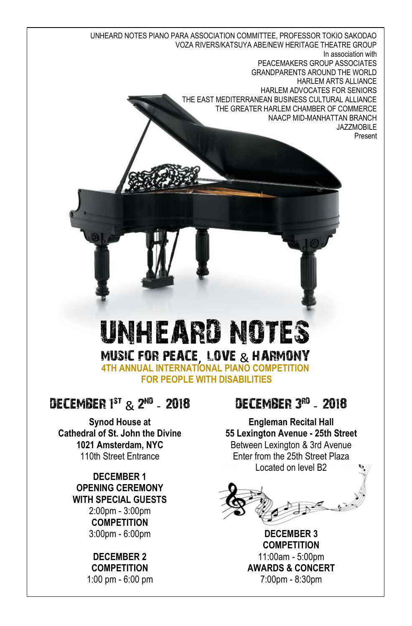UNHEARD NOTES PIANO PARA ASSOCIATION COMMITTEE, PROFESSOR TOKIO SAKODAO VOZA RIVERS/KATSUYA ABE/NEW HERITAGE THEATRE GROUP In association with PEACEMAKERS GROUP ASSOCIATES GRANDPARENTS AROUND THE WORLD HARLEM ARTS ALLIANCE HARLEM ADVOCATES FOR SENIORS THE EAST MEDITERRANEAN BUSINESS CULTURAL ALLIANCE THE GREATER HARLEM CHAMBER OF COMMERCE NAACP MID-MANHATTAN BRANCH JAZZMOBILE Present

# UNHEARD NOTES MUSIC FOR PEACE, LOVE & HARMONY **4TH ANNUAL INTERNATIONAL PIANO COMPETITION**

**FOR PEOPLE WITH DISABILITIES**

#### 0ECEMBER 1<sup>st</sup> & 2<sup>nd</sup> - 2018

**Synod House at Cathedral of St. John the Divine 1021 Amsterdam, NYC** 110th Street Entrance

> **DECEMBER 1 OPENING CEREMONY WITH SPECIAL GUESTS** 2:00pm - 3:00pm **COMPETITION** 3:00pm - 6:00pm

#### **DECEMBER 2 COMPETITION** 1:00 pm - 6:00 pm

#### DECEMBER 3RD - 2018

**Engleman Recital Hall 55 Lexington Avenue - 25th Street**  Between Lexington & 3rd Avenue Enter from the 25th Street Plaza Located on level B2



**DECEMBER 3 COMPETITION** 11:00am - 5:00pm **AWARDS & CONCERT** 7:00pm - 8:30pm